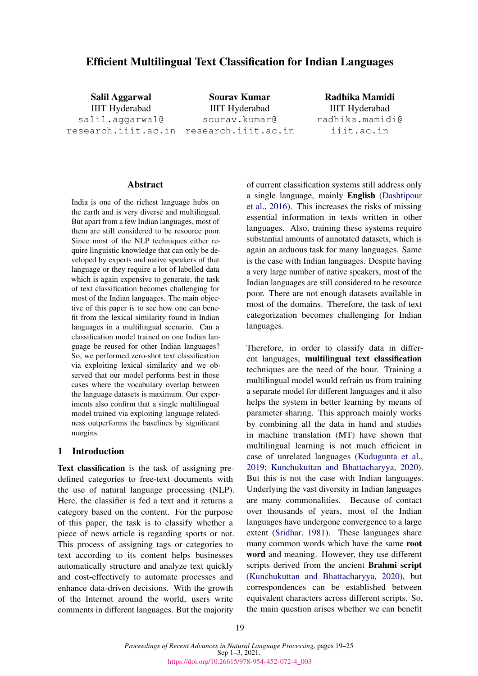# Efficient Multilingual Text Classification for Indian Languages

Salil Aggarwal IIIT Hyderabad salil.aggarwal@ research.iiit.ac.in research.iiit.ac.in

Sourav Kumar IIIT Hyderabad sourav.kumar@

Radhika Mamidi IIIT Hyderabad radhika.mamidi@ iiit.ac.in

## Abstract

India is one of the richest language hubs on the earth and is very diverse and multilingual. But apart from a few Indian languages, most of them are still considered to be resource poor. Since most of the NLP techniques either require linguistic knowledge that can only be developed by experts and native speakers of that language or they require a lot of labelled data which is again expensive to generate, the task of text classification becomes challenging for most of the Indian languages. The main objective of this paper is to see how one can benefit from the lexical similarity found in Indian languages in a multilingual scenario. Can a classification model trained on one Indian language be reused for other Indian languages? So, we performed zero-shot text classification via exploiting lexical similarity and we observed that our model performs best in those cases where the vocabulary overlap between the language datasets is maximum. Our experiments also confirm that a single multilingual model trained via exploiting language relatedness outperforms the baselines by significant margins.

# 1 Introduction

Text classification is the task of assigning predefined categories to free-text documents with the use of natural language processing (NLP). Here, the classifier is fed a text and it returns a category based on the content. For the purpose of this paper, the task is to classify whether a piece of news article is regarding sports or not. This process of assigning tags or categories to text according to its content helps businesses automatically structure and analyze text quickly and cost-effectively to automate processes and enhance data-driven decisions. With the growth of the Internet around the world, users write comments in different languages. But the majority

of current classification systems still address only a single language, mainly English [\(Dashtipour](#page-5-0) [et al.,](#page-5-0) [2016\)](#page-5-0). This increases the risks of missing essential information in texts written in other languages. Also, training these systems require substantial amounts of annotated datasets, which is again an arduous task for many languages. Same is the case with Indian languages. Despite having a very large number of native speakers, most of the Indian languages are still considered to be resource poor. There are not enough datasets available in most of the domains. Therefore, the task of text categorization becomes challenging for Indian languages.

Therefore, in order to classify data in different languages, multilingual text classification techniques are the need of the hour. Training a multilingual model would refrain us from training a separate model for different languages and it also helps the system in better learning by means of parameter sharing. This approach mainly works by combining all the data in hand and studies in machine translation (MT) have shown that multilingual learning is not much efficient in case of unrelated languages [\(Kudugunta et al.,](#page-6-0) [2019;](#page-6-0) [Kunchukuttan and Bhattacharyya,](#page-6-1) [2020\)](#page-6-1). But this is not the case with Indian languages. Underlying the vast diversity in Indian languages are many commonalities. Because of contact over thousands of years, most of the Indian languages have undergone convergence to a large extent [\(Sridhar,](#page-6-2) [1981\)](#page-6-2). These languages share many common words which have the same root word and meaning. However, they use different scripts derived from the ancient Brahmi script [\(Kunchukuttan and Bhattacharyya,](#page-6-1) [2020\)](#page-6-1), but correspondences can be established between equivalent characters across different scripts. So, the main question arises whether we can benefit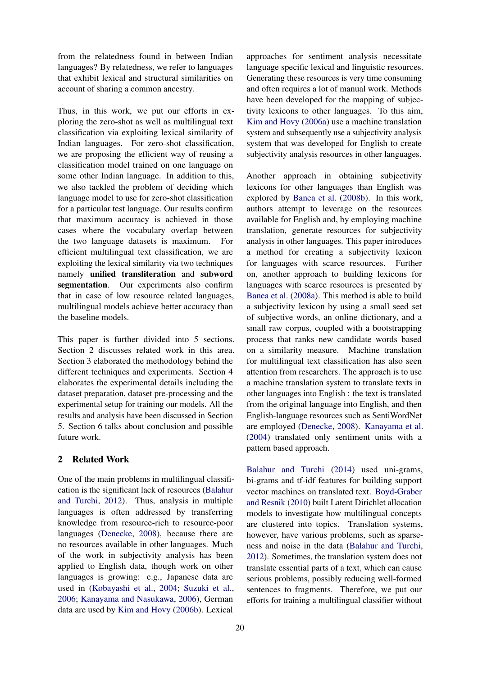from the relatedness found in between Indian languages? By relatedness, we refer to languages that exhibit lexical and structural similarities on account of sharing a common ancestry.

Thus, in this work, we put our efforts in exploring the zero-shot as well as multilingual text classification via exploiting lexical similarity of Indian languages. For zero-shot classification, we are proposing the efficient way of reusing a classification model trained on one language on some other Indian language. In addition to this, we also tackled the problem of deciding which language model to use for zero-shot classification for a particular test language. Our results confirm that maximum accuracy is achieved in those cases where the vocabulary overlap between the two language datasets is maximum. For efficient multilingual text classification, we are exploiting the lexical similarity via two techniques namely unified transliteration and subword segmentation. Our experiments also confirm that in case of low resource related languages, multilingual models achieve better accuracy than the baseline models.

This paper is further divided into 5 sections. Section 2 discusses related work in this area. Section 3 elaborated the methodology behind the different techniques and experiments. Section 4 elaborates the experimental details including the dataset preparation, dataset pre-processing and the experimental setup for training our models. All the results and analysis have been discussed in Section 5. Section 6 talks about conclusion and possible future work.

# 2 Related Work

One of the main problems in multilingual classification is the significant lack of resources [\(Balahur](#page-5-1) [and Turchi,](#page-5-1) [2012\)](#page-5-1). Thus, analysis in multiple languages is often addressed by transferring knowledge from resource-rich to resource-poor languages [\(Denecke,](#page-5-2) [2008\)](#page-5-2), because there are no resources available in other languages. Much of the work in subjectivity analysis has been applied to English data, though work on other languages is growing: e.g., Japanese data are used in [\(Kobayashi et al.,](#page-6-3) [2004;](#page-6-3) [Suzuki et al.,](#page-6-4) [2006;](#page-6-4) [Kanayama and Nasukawa,](#page-5-3) [2006\)](#page-5-3), German data are used by [Kim and Hovy](#page-5-4) [\(2006b\)](#page-5-4). Lexical

approaches for sentiment analysis necessitate language specific lexical and linguistic resources. Generating these resources is very time consuming and often requires a lot of manual work. Methods have been developed for the mapping of subjectivity lexicons to other languages. To this aim, [Kim and Hovy](#page-5-5) [\(2006a\)](#page-5-5) use a machine translation system and subsequently use a subjectivity analysis system that was developed for English to create subjectivity analysis resources in other languages.

Another approach in obtaining subjectivity lexicons for other languages than English was explored by [Banea et al.](#page-5-6) [\(2008b\)](#page-5-6). In this work, authors attempt to leverage on the resources available for English and, by employing machine translation, generate resources for subjectivity analysis in other languages. This paper introduces a method for creating a subjectivity lexicon for languages with scarce resources. Further on, another approach to building lexicons for languages with scarce resources is presented by [Banea et al.](#page-5-7) [\(2008a\)](#page-5-7). This method is able to build a subjectivity lexicon by using a small seed set of subjective words, an online dictionary, and a small raw corpus, coupled with a bootstrapping process that ranks new candidate words based on a similarity measure. Machine translation for multilingual text classification has also seen attention from researchers. The approach is to use a machine translation system to translate texts in other languages into English : the text is translated from the original language into English, and then English-language resources such as SentiWordNet are employed [\(Denecke,](#page-5-2) [2008\)](#page-5-2). [Kanayama et al.](#page-5-8) [\(2004\)](#page-5-8) translated only sentiment units with a pattern based approach.

[Balahur and Turchi](#page-5-9) [\(2014\)](#page-5-9) used uni-grams, bi-grams and tf-idf features for building support vector machines on translated text. [Boyd-Graber](#page-5-10) [and Resnik](#page-5-10) [\(2010\)](#page-5-10) built Latent Dirichlet allocation models to investigate how multilingual concepts are clustered into topics. Translation systems, however, have various problems, such as sparseness and noise in the data [\(Balahur and Turchi,](#page-5-1) [2012\)](#page-5-1). Sometimes, the translation system does not translate essential parts of a text, which can cause serious problems, possibly reducing well-formed sentences to fragments. Therefore, we put our efforts for training a multilingual classifier without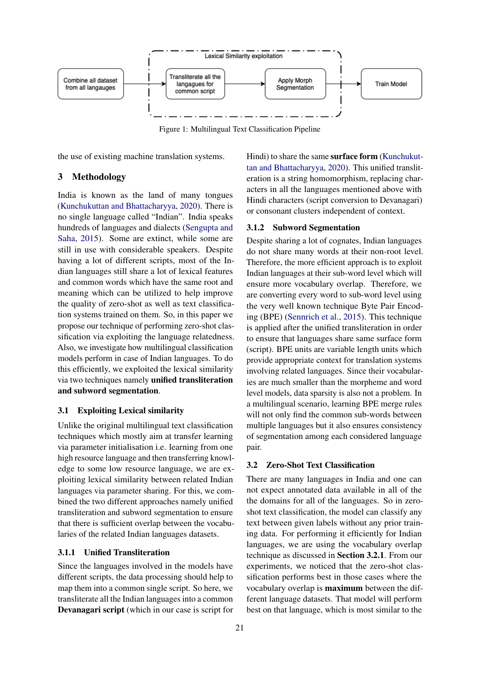

Figure 1: Multilingual Text Classification Pipeline

the use of existing machine translation systems.

## 3 Methodology

India is known as the land of many tongues [\(Kunchukuttan and Bhattacharyya,](#page-6-1) [2020\)](#page-6-1). There is no single language called "Indian". India speaks hundreds of languages and dialects [\(Sengupta and](#page-6-5) [Saha,](#page-6-5) [2015\)](#page-6-5). Some are extinct, while some are still in use with considerable speakers. Despite having a lot of different scripts, most of the Indian languages still share a lot of lexical features and common words which have the same root and meaning which can be utilized to help improve the quality of zero-shot as well as text classification systems trained on them. So, in this paper we propose our technique of performing zero-shot classification via exploiting the language relatedness. Also, we investigate how multilingual classification models perform in case of Indian languages. To do this efficiently, we exploited the lexical similarity via two techniques namely unified transliteration and subword segmentation.

# 3.1 Exploiting Lexical similarity

Unlike the original multilingual text classification techniques which mostly aim at transfer learning via parameter initialisation i.e. learning from one high resource language and then transferring knowledge to some low resource language, we are exploiting lexical similarity between related Indian languages via parameter sharing. For this, we combined the two different approaches namely unified transliteration and subword segmentation to ensure that there is sufficient overlap between the vocabularies of the related Indian languages datasets.

## 3.1.1 Unified Transliteration

Since the languages involved in the models have different scripts, the data processing should help to map them into a common single script. So here, we transliterate all the Indian languages into a common Devanagari script (which in our case is script for Hindi) to share the same surface form [\(Kunchukut](#page-6-1)[tan and Bhattacharyya,](#page-6-1) [2020\)](#page-6-1). This unified transliteration is a string homomorphism, replacing characters in all the languages mentioned above with Hindi characters (script conversion to Devanagari) or consonant clusters independent of context.

## 3.1.2 Subword Segmentation

Despite sharing a lot of cognates, Indian languages do not share many words at their non-root level. Therefore, the more efficient approach is to exploit Indian languages at their sub-word level which will ensure more vocabulary overlap. Therefore, we are converting every word to sub-word level using the very well known technique Byte Pair Encoding (BPE) [\(Sennrich et al.,](#page-6-6) [2015\)](#page-6-6). This technique is applied after the unified transliteration in order to ensure that languages share same surface form (script). BPE units are variable length units which provide appropriate context for translation systems involving related languages. Since their vocabularies are much smaller than the morpheme and word level models, data sparsity is also not a problem. In a multilingual scenario, learning BPE merge rules will not only find the common sub-words between multiple languages but it also ensures consistency of segmentation among each considered language pair.

# 3.2 Zero-Shot Text Classification

There are many languages in India and one can not expect annotated data available in all of the the domains for all of the languages. So in zeroshot text classification, the model can classify any text between given labels without any prior training data. For performing it efficiently for Indian languages, we are using the vocabulary overlap technique as discussed in Section 3.2.1. From our experiments, we noticed that the zero-shot classification performs best in those cases where the vocabulary overlap is maximum between the different language datasets. That model will perform best on that language, which is most similar to the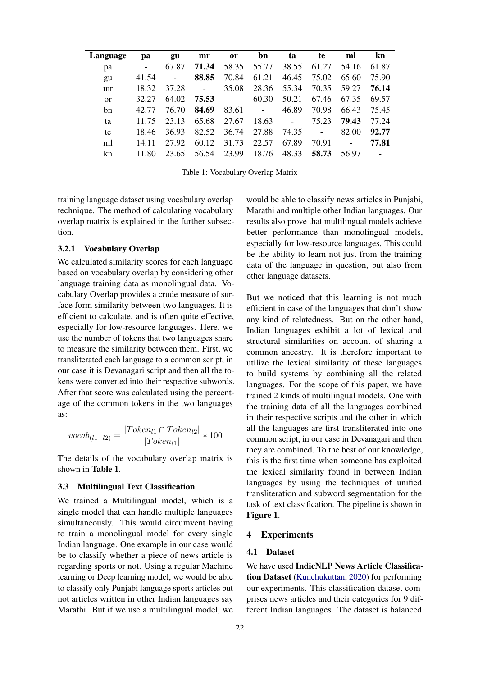| Language | pa    | gu    | mr                       | <b>or</b>     | bn                       | ta                       | te                       | ml                       | kn    |
|----------|-------|-------|--------------------------|---------------|--------------------------|--------------------------|--------------------------|--------------------------|-------|
| pa       | -     | 67.87 | 71.34                    | 58.35         | 55.77                    | 38.55                    | 61.27                    | 54.16                    | 61.87 |
| gu       | 41.54 | -     | 88.85                    | 70.84         | 61.21                    | 46.45                    | 75.02                    | 65.60                    | 75.90 |
| mr       | 18.32 | 37.28 | $\overline{\phantom{0}}$ | 35.08         | 28.36                    | 55.34                    | 70.35                    | 59.27                    | 76.14 |
| $\alpha$ | 32.27 | 64.02 | 75.53                    | $\frac{1}{2}$ | 60.30                    | 50.21                    | 67.46                    | 67.35                    | 69.57 |
| bn       | 42.77 | 76.70 | 84.69                    | 83.61         | $\overline{\phantom{a}}$ | 46.89                    | 70.98                    | 66.43                    | 75.45 |
| ta       | 11.75 | 23.13 | 65.68                    | 27.67         | 18.63                    | $\overline{\phantom{a}}$ | 75.23                    | 79.43                    | 77.24 |
| te       | 18.46 | 36.93 | 82.52                    | 36.74         | 27.88                    | 74.35                    | $\overline{\phantom{a}}$ | 82.00                    | 92.77 |
| ml       | 14 11 | 27.92 | 60.12                    | 31.73         | 22.57                    | 67.89                    | 70.91                    | $\overline{\phantom{a}}$ | 77.81 |
| kn       | 11.80 | 23.65 | 56.54                    | 23.99         | 18.76                    | 48.33                    | 58.73                    | 56.97                    |       |

Table 1: Vocabulary Overlap Matrix

training language dataset using vocabulary overlap technique. The method of calculating vocabulary overlap matrix is explained in the further subsection.

## 3.2.1 Vocabulary Overlap

We calculated similarity scores for each language based on vocabulary overlap by considering other language training data as monolingual data. Vocabulary Overlap provides a crude measure of surface form similarity between two languages. It is efficient to calculate, and is often quite effective, especially for low-resource languages. Here, we use the number of tokens that two languages share to measure the similarity between them. First, we transliterated each language to a common script, in our case it is Devanagari script and then all the tokens were converted into their respective subwords. After that score was calculated using the percentage of the common tokens in the two languages as:

$$
vocab_{(l1-l2)} = \frac{|Token_{l1} \cap Token_{l2}|}{|Token_{l1}|} * 100
$$

The details of the vocabulary overlap matrix is shown in Table 1.

# 3.3 Multilingual Text Classification

We trained a Multilingual model, which is a single model that can handle multiple languages simultaneously. This would circumvent having to train a monolingual model for every single Indian language. One example in our case would be to classify whether a piece of news article is regarding sports or not. Using a regular Machine learning or Deep learning model, we would be able to classify only Punjabi language sports articles but not articles written in other Indian languages say Marathi. But if we use a multilingual model, we

would be able to classify news articles in Punjabi, Marathi and multiple other Indian languages. Our results also prove that multilingual models achieve better performance than monolingual models, especially for low-resource languages. This could be the ability to learn not just from the training data of the language in question, but also from other language datasets.

But we noticed that this learning is not much efficient in case of the languages that don't show any kind of relatedness. But on the other hand, Indian languages exhibit a lot of lexical and structural similarities on account of sharing a common ancestry. It is therefore important to utilize the lexical similarity of these languages to build systems by combining all the related languages. For the scope of this paper, we have trained 2 kinds of multilingual models. One with the training data of all the languages combined in their respective scripts and the other in which all the languages are first transliterated into one common script, in our case in Devanagari and then they are combined. To the best of our knowledge, this is the first time when someone has exploited the lexical similarity found in between Indian languages by using the techniques of unified transliteration and subword segmentation for the task of text classification. The pipeline is shown in Figure 1.

#### 4 Experiments

#### 4.1 Dataset

We have used IndicNLP News Article Classification Dataset [\(Kunchukuttan,](#page-6-7) [2020\)](#page-6-7) for performing our experiments. This classification dataset comprises news articles and their categories for 9 different Indian languages. The dataset is balanced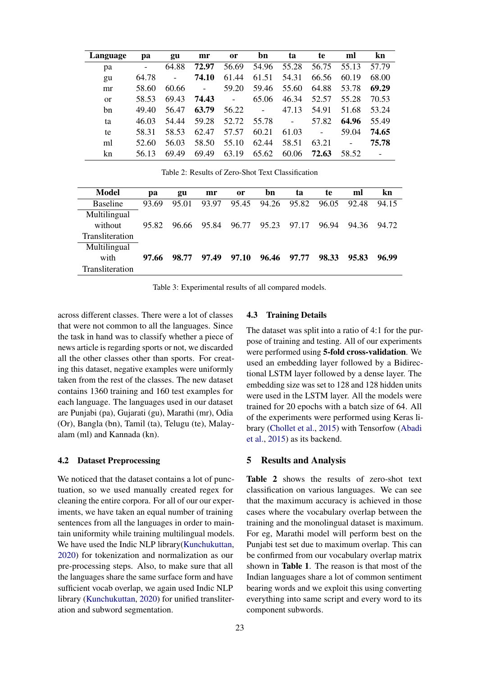| Language      | pa                       | gu                       | mr                       | <sub>or</sub>            | bn             | ta                       | te                       | ml             | kn    |
|---------------|--------------------------|--------------------------|--------------------------|--------------------------|----------------|--------------------------|--------------------------|----------------|-------|
| pa            | $\overline{\phantom{0}}$ | 64.88                    | 72.97                    | 56.69                    | 54.96          | 55.28                    | 56.75                    | 55.13          | 57.79 |
| gu            | 64.78                    | $\overline{\phantom{a}}$ | 74.10                    | 61.44                    | 61.51          | 54.31                    | 66.56                    | 60.19          | 68.00 |
| mr            | 58.60                    | 60.66                    | $\overline{\phantom{a}}$ | 59.20                    | 59.46          | 55.60                    | 64.88                    | 53.78          | 69.29 |
| <sub>or</sub> | 58.53                    | 69.43                    | 74.43                    | $\overline{\phantom{a}}$ | 65.06          | 46.34                    | 52.57                    | 55.28          | 70.53 |
| bn            | 49.40                    | 56.47                    | 63.79                    | 56.22                    | $\overline{a}$ | 47.13                    | 54.91                    | 51.68          | 53.24 |
| ta            | 46.03                    | 54.44                    | 59.28                    | 52.72                    | 55.78          | $\overline{\phantom{a}}$ | 57.82                    | 64.96          | 55.49 |
| te            | 58.31                    | 58.53                    | 62.47                    | 57.57                    | 60.21          | 61.03                    | $\overline{\phantom{a}}$ | 59.04          | 74.65 |
| ml            | 52.60                    | 56.03                    | 58.50                    | 55.10                    | 62.44          | 58.51                    | 63.21                    | $\blacksquare$ | 75.78 |
| kn            | 56.13                    | 69.49                    | 69.49                    | 63.19                    | 65.62          | 60.06                    | 72.63                    | 58.52          |       |

Table 2: Results of Zero-Shot Text Classification

| Model           | pa    | gu    | mr    | or    | bn    | ta    | te    | ml    | kn    |
|-----------------|-------|-------|-------|-------|-------|-------|-------|-------|-------|
| <b>Baseline</b> | 93.69 | 95.01 | 93.97 | 95.45 | 94.26 | 95.82 | 96.05 | 92.48 | 94.15 |
| Multilingual    |       |       |       |       |       |       |       |       |       |
| without         | 95.82 | 96.66 | 95.84 | 96.77 | 95.23 | 97.17 | 96.94 | 94.36 | 94.72 |
| Transliteration |       |       |       |       |       |       |       |       |       |
| Multilingual    |       |       |       |       |       |       |       |       |       |
| with            | 97.66 | 98.77 | 97.49 | 97.10 | 96.46 | 97.77 | 98.33 | 95.83 | 96.99 |
| Transliteration |       |       |       |       |       |       |       |       |       |

Table 3: Experimental results of all compared models.

across different classes. There were a lot of classes that were not common to all the languages. Since the task in hand was to classify whether a piece of news article is regarding sports or not, we discarded all the other classes other than sports. For creating this dataset, negative examples were uniformly taken from the rest of the classes. The new dataset contains 1360 training and 160 test examples for each language. The languages used in our dataset are Punjabi (pa), Gujarati (gu), Marathi (mr), Odia (Or), Bangla (bn), Tamil (ta), Telugu (te), Malayalam (ml) and Kannada (kn).

#### 4.2 Dataset Preprocessing

We noticed that the dataset contains a lot of punctuation, so we used manually created regex for cleaning the entire corpora. For all of our our experiments, we have taken an equal number of training sentences from all the languages in order to maintain uniformity while training multilingual models. We have used the Indic NLP library[\(Kunchukuttan,](#page-6-7) [2020\)](#page-6-7) for tokenization and normalization as our pre-processing steps. Also, to make sure that all the languages share the same surface form and have sufficient vocab overlap, we again used Indic NLP library [\(Kunchukuttan,](#page-6-7) [2020\)](#page-6-7) for unified transliteration and subword segmentation.

## 4.3 Training Details

The dataset was split into a ratio of 4:1 for the purpose of training and testing. All of our experiments were performed using 5-fold cross-validation. We used an embedding layer followed by a Bidirectional LSTM layer followed by a dense layer. The embedding size was set to 128 and 128 hidden units were used in the LSTM layer. All the models were trained for 20 epochs with a batch size of 64. All of the experiments were performed using Keras library [\(Chollet et al.,](#page-5-11) [2015\)](#page-5-11) with Tensorfow [\(Abadi](#page-5-12) [et al.,](#page-5-12) [2015\)](#page-5-12) as its backend.

# 5 Results and Analysis

Table 2 shows the results of zero-shot text classification on various languages. We can see that the maximum accuracy is achieved in those cases where the vocabulary overlap between the training and the monolingual dataset is maximum. For eg, Marathi model will perform best on the Punjabi test set due to maximum overlap. This can be confirmed from our vocabulary overlap matrix shown in Table 1. The reason is that most of the Indian languages share a lot of common sentiment bearing words and we exploit this using converting everything into same script and every word to its component subwords.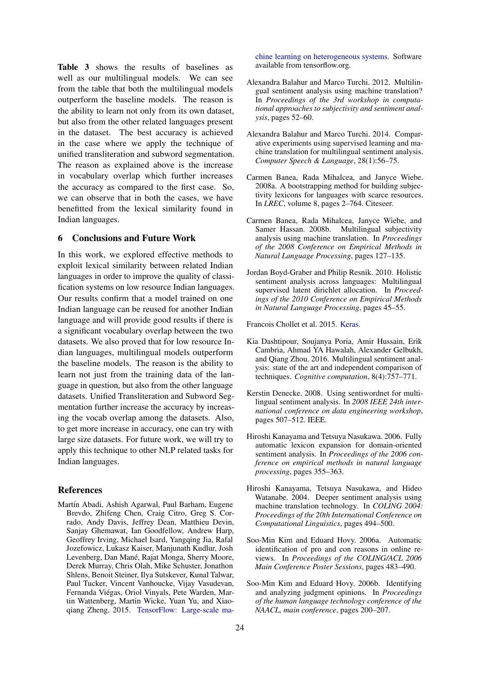Table 3 shows the results of baselines as well as our multilingual models. We can see from the table that both the multilingual models outperform the baseline models. The reason is the ability to learn not only from its own dataset, but also from the other related languages present in the dataset. The best accuracy is achieved in the case where we apply the technique of unified transliteration and subword segmentation. The reason as explained above is the increase in vocabulary overlap which further increases the accuracy as compared to the first case. So, we can observe that in both the cases, we have benefitted from the lexical similarity found in Indian languages.

#### 6 Conclusions and Future Work

In this work, we explored effective methods to exploit lexical similarity between related Indian languages in order to improve the quality of classification systems on low resource Indian languages. Our results confirm that a model trained on one Indian language can be reused for another Indian language and will provide good results if there is a significant vocabulary overlap between the two datasets. We also proved that for low resource Indian languages, multilingual models outperform the baseline models. The reason is the ability to learn not just from the training data of the language in question, but also from the other language datasets. Unified Transliteration and Subword Segmentation further increase the accuracy by increasing the vocab overlap among the datasets. Also, to get more increase in accuracy, one can try with large size datasets. For future work, we will try to apply this technique to other NLP related tasks for Indian languages.

#### References

<span id="page-5-12"></span>Martín Abadi, Ashish Agarwal, Paul Barham, Eugene Brevdo, Zhifeng Chen, Craig Citro, Greg S. Corrado, Andy Davis, Jeffrey Dean, Matthieu Devin, Sanjay Ghemawat, Ian Goodfellow, Andrew Harp, Geoffrey Irving, Michael Isard, Yangqing Jia, Rafal Jozefowicz, Lukasz Kaiser, Manjunath Kudlur, Josh Levenberg, Dan Mané, Rajat Monga, Sherry Moore, Derek Murray, Chris Olah, Mike Schuster, Jonathon Shlens, Benoit Steiner, Ilya Sutskever, Kunal Talwar, Paul Tucker, Vincent Vanhoucke, Vijay Vasudevan, Fernanda Viegas, Oriol Vinyals, Pete Warden, Mar- ´ tin Wattenberg, Martin Wicke, Yuan Yu, and Xiaoqiang Zheng. 2015. [TensorFlow: Large-scale ma-](http://tensorflow.org/) [chine learning on heterogeneous systems.](http://tensorflow.org/) Software available from tensorflow.org.

- <span id="page-5-1"></span>Alexandra Balahur and Marco Turchi. 2012. Multilingual sentiment analysis using machine translation? In *Proceedings of the 3rd workshop in computational approaches to subjectivity and sentiment analysis*, pages 52–60.
- <span id="page-5-9"></span>Alexandra Balahur and Marco Turchi. 2014. Comparative experiments using supervised learning and machine translation for multilingual sentiment analysis. *Computer Speech & Language*, 28(1):56–75.
- <span id="page-5-7"></span>Carmen Banea, Rada Mihalcea, and Janyce Wiebe. 2008a. A bootstrapping method for building subjectivity lexicons for languages with scarce resources. In *LREC*, volume 8, pages 2–764. Citeseer.
- <span id="page-5-6"></span>Carmen Banea, Rada Mihalcea, Janyce Wiebe, and Samer Hassan. 2008b. Multilingual subjectivity analysis using machine translation. In *Proceedings of the 2008 Conference on Empirical Methods in Natural Language Processing*, pages 127–135.
- <span id="page-5-10"></span>Jordan Boyd-Graber and Philip Resnik. 2010. Holistic sentiment analysis across languages: Multilingual supervised latent dirichlet allocation. In *Proceedings of the 2010 Conference on Empirical Methods in Natural Language Processing*, pages 45–55.

<span id="page-5-11"></span>Francois Chollet et al. 2015. [Keras.](https://github.com/fchollet/keras)

- <span id="page-5-0"></span>Kia Dashtipour, Soujanya Poria, Amir Hussain, Erik Cambria, Ahmad YA Hawalah, Alexander Gelbukh, and Qiang Zhou. 2016. Multilingual sentiment analysis: state of the art and independent comparison of techniques. *Cognitive computation*, 8(4):757–771.
- <span id="page-5-2"></span>Kerstin Denecke. 2008. Using sentiwordnet for multilingual sentiment analysis. In *2008 IEEE 24th international conference on data engineering workshop*, pages 507–512. IEEE.
- <span id="page-5-3"></span>Hiroshi Kanayama and Tetsuya Nasukawa. 2006. Fully automatic lexicon expansion for domain-oriented sentiment analysis. In *Proceedings of the 2006 conference on empirical methods in natural language processing*, pages 355–363.
- <span id="page-5-8"></span>Hiroshi Kanayama, Tetsuya Nasukawa, and Hideo Watanabe. 2004. Deeper sentiment analysis using machine translation technology. In *COLING 2004: Proceedings of the 20th International Conference on Computational Linguistics*, pages 494–500.
- <span id="page-5-5"></span>Soo-Min Kim and Eduard Hovy. 2006a. Automatic identification of pro and con reasons in online reviews. In *Proceedings of the COLING/ACL 2006 Main Conference Poster Sessions*, pages 483–490.
- <span id="page-5-4"></span>Soo-Min Kim and Eduard Hovy. 2006b. Identifying and analyzing judgment opinions. In *Proceedings of the human language technology conference of the NAACL, main conference*, pages 200–207.